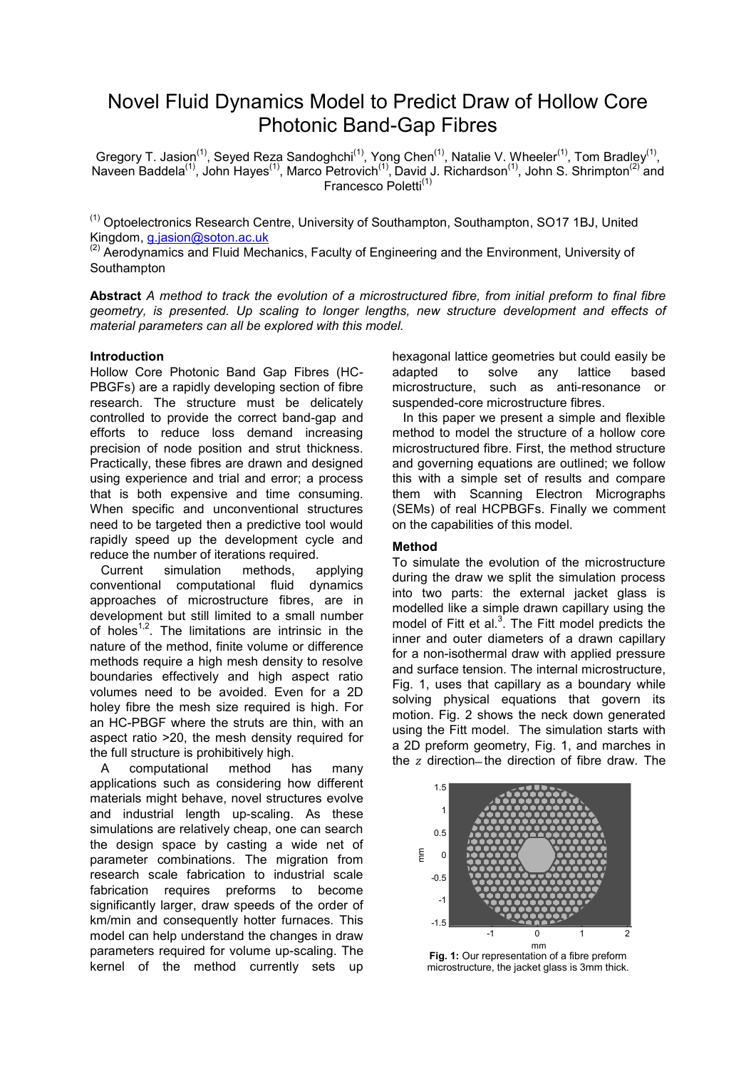# Novel Fluid Dynamics Model to Predict Draw of Hollow Core Photonic Band-Gap Fibres

Gregory T. Jasion<sup>(1)</sup>, Seyed Reza Sandoghchi<sup>(1)</sup>, Yong Chen<sup>(1)</sup>, Natalie V. Wheeler<sup>(1)</sup>, Tom Bradley<sup>(1)</sup>, Naveen Baddela<sup>(1)</sup>, John Hayes<sup>(1)</sup>, Marco Petrovich<sup>(1)</sup>, David J. Richardson<sup>(1)</sup>, John S. Shrimpton<sup>(2)</sup> and Francesco Poletti<sup>(1)</sup>

(1) Optoelectronics Research Centre, University of Southampton, Southampton, SO17 1BJ, United Kingdom, [g.jasion@s](mailto:g.jasion@)oton.ac.uk

<sup>(2)</sup> Aerodynamics and Fluid Mechanics, Faculty of Engineering and the Environment, University of Southampton

**Abstract** *A method to track the evolution of a microstructured fibre, from initial preform to final fibre geometry, is presented. Up scaling to longer lengths, new structure development and effects of material parameters can all be explored with this model.*

# **Introduction**

Hollow Core Photonic Band Gap Fibres (HC-PBGFs) are a rapidly developing section of fibre research. The structure must be delicately controlled to provide the correct band-gap and efforts to reduce loss demand increasing precision of node position and strut thickness. Practically, these fibres are drawn and designed using experience and trial and error; a process that is both expensive and time consuming. When specific and unconventional structures need to be targeted then a predictive tool would rapidly speed up the development cycle and reduce the number of iterations required.

Current simulation methods, applying conventional computational fluid dynamics approaches of microstructure fibres, are in development but still limited to a small number of holes<sup>1,2</sup>. The limitations are intrinsic in the nature of the method, finite volume or difference methods require a high mesh density to resolve boundaries effectively and high aspect ratio volumes need to be avoided. Even for a 2D holey fibre the mesh size required is high. For an HC-PBGF where the struts are thin, with an aspect ratio >20, the mesh density required for the full structure is prohibitively high.

A computational method has many applications such as considering how different materials might behave, novel structures evolve and industrial length up-scaling. As these simulations are relatively cheap, one can search the design space by casting a wide net of parameter combinations. The migration from research scale fabrication to industrial scale fabrication requires preforms to become significantly larger, draw speeds of the order of km/min and consequently hotter furnaces. This model can help understand the changes in draw parameters required for volume up-scaling. The kernel of the method currently sets up

hexagonal lattice geometries but could easily be adapted to solve any lattice based microstructure, such as anti-resonance or suspended-core microstructure fibres.

In this paper we present a simple and flexible method to model the structure of a hollow core microstructured fibre. First, the method structure and governing equations are outlined; we follow this with a simple set of results and compare them with Scanning Electron Micrographs (SEMs) of real HCPBGFs. Finally we comment on the capabilities of this model.

# **Method**

To simulate the evolution of the microstructure during the draw we split the simulation process into two parts: the external jacket glass is modelled like a simple drawn capillary using the model of Fitt et al. $3$ . The Fitt model predicts the inner and outer diameters of a drawn capillary for a non-isothermal draw with applied pressure and surface tension. The internal microstructure, Fig. 1, uses that capillary as a boundary while solving physical equations that govern its motion. Fig. 2 shows the neck down generated using the Fitt model. The simulation starts with a 2D preform geometry, Fig. 1, and marches in the  $z$  direction–the direction of fibre draw. The



**Fig. 1:** Our representation of a fibre preform microstructure, the jacket glass is 3mm thick.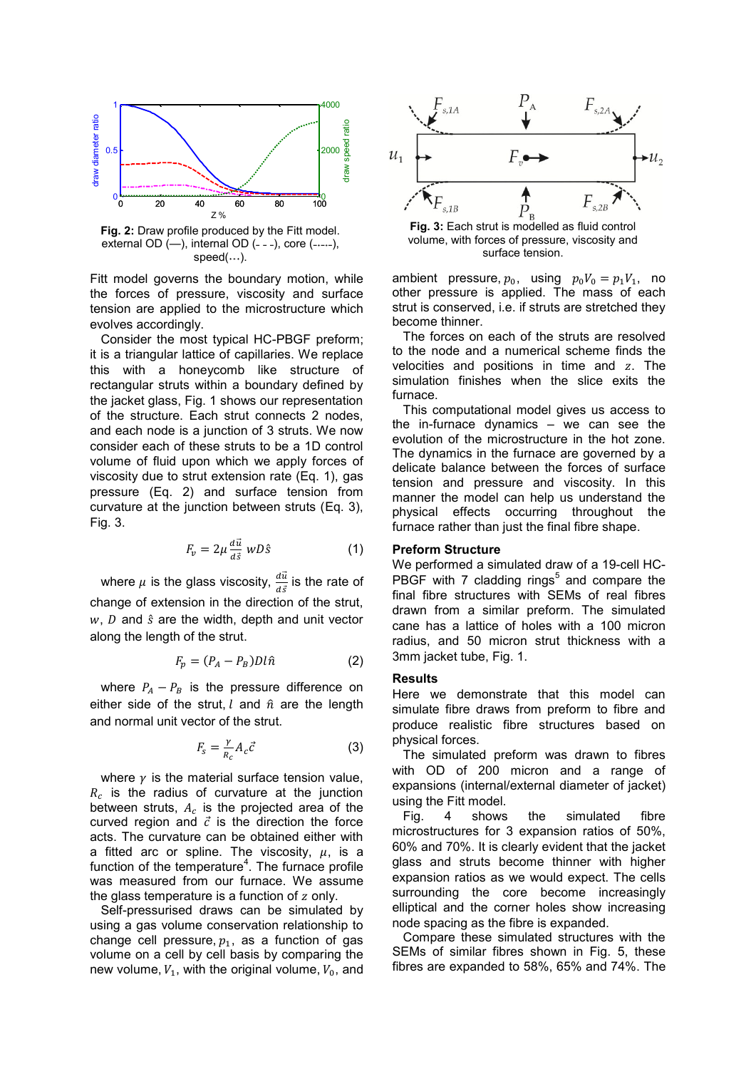

**Fig. 2:** Draw profile produced by the Fitt model. external OD  $(-)$ , internal OD  $(--)$ , core  $(-)$ ,  $speed(...)$ .

Fitt model governs the boundary motion, while the forces of pressure, viscosity and surface tension are applied to the microstructure which evolves accordingly.

Consider the most typical HC-PBGF preform; it is a triangular lattice of capillaries. We replace this with a honeycomb like structure of rectangular struts within a boundary defined by the jacket glass, Fig. 1 shows our representation of the structure. Each strut connects 2 nodes, and each node is a junction of 3 struts. We now consider each of these struts to be a 1D control volume of fluid upon which we apply forces of viscosity due to strut extension rate (Eq. 1), gas pressure (Eq. 2) and surface tension from curvature at the junction between struts (Eq. 3), Fig. 3.

$$
F_v = 2\mu \frac{d\vec{u}}{d\vec{s}} \; wD\hat{s} \tag{1}
$$

where  $\mu$  is the glass viscosity,  $\frac{d\vec{u}}{d\vec{s}}$  is the rate of change of extension in the direction of the strut,  $w$ ,  $D$  and  $\hat{s}$  are the width, depth and unit vector along the length of the strut.

$$
F_p = (P_A - P_B) D l \hat{n}
$$
 (2)

where  $P_A - P_B$  is the pressure difference on either side of the strut,  $l$  and  $\hat{n}$  are the length and normal unit vector of the strut.

$$
F_s = \frac{\gamma}{R_c} A_c \vec{c} \tag{3}
$$

where  $\gamma$  is the material surface tension value,  $R_c$  is the radius of curvature at the junction between struts,  $A_c$  is the projected area of the curved region and  $\vec{c}$  is the direction the force acts. The curvature can be obtained either with a fitted arc or spline. The viscosity,  $\mu$ , is a function of the temperature<sup>4</sup>. The furnace profile was measured from our furnace. We assume the glass temperature is a function of  $z$  only.

Self-pressurised draws can be simulated by using a gas volume conservation relationship to change cell pressure,  $p_1$ , as a function of gas volume on a cell by cell basis by comparing the new volume,  $V_1$ , with the original volume,  $V_0$ , and



volume, with forces of pressure, viscosity and surface tension.

ambient pressure,  $p_0$ , using  $p_0V_0 = p_1V_1$ , no other pressure is applied. The mass of each strut is conserved, i.e. if struts are stretched they become thinner.

The forces on each of the struts are resolved to the node and a numerical scheme finds the velocities and positions in time and  $z$ . The simulation finishes when the slice exits the furnace.

This computational model gives us access to the in-furnace dynamics – we can see the evolution of the microstructure in the hot zone. The dynamics in the furnace are governed by a delicate balance between the forces of surface tension and pressure and viscosity. In this manner the model can help us understand the physical effects occurring throughout the furnace rather than just the final fibre shape.

## **Preform Structure**

We performed a simulated draw of a 19-cell HC-PBGF with  $7$  cladding rings<sup>5</sup> and compare the final fibre structures with SEMs of real fibres drawn from a similar preform. The simulated cane has a lattice of holes with a 100 micron radius, and 50 micron strut thickness with a 3mm jacket tube, Fig. 1.

#### **Results**

Here we demonstrate that this model can simulate fibre draws from preform to fibre and produce realistic fibre structures based on physical forces.

The simulated preform was drawn to fibres with OD of 200 micron and a range of expansions (internal/external diameter of jacket) using the Fitt model.

Fig. 4 shows the simulated fibre microstructures for 3 expansion ratios of 50%, 60% and 70%. It is clearly evident that the jacket glass and struts become thinner with higher expansion ratios as we would expect. The cells surrounding the core become increasingly elliptical and the corner holes show increasing node spacing as the fibre is expanded.

Compare these simulated structures with the SEMs of similar fibres shown in Fig. 5, these fibres are expanded to 58%, 65% and 74%. The